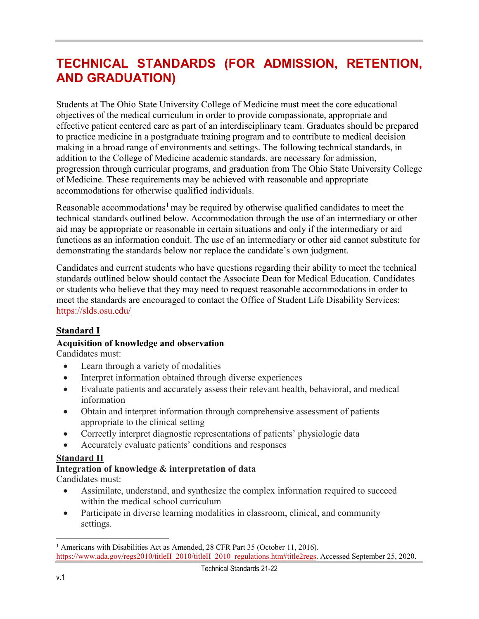# **TECHNICAL STANDARDS (FOR ADMISSION, RETENTION, AND GRADUATION)**

Students at The Ohio State University College of Medicine must meet the core educational objectives of the medical curriculum in order to provide compassionate, appropriate and effective patient centered care as part of an interdisciplinary team. Graduates should be prepared to practice medicine in a postgraduate training program and to contribute to medical decision making in a broad range of environments and settings. The following technical standards, in addition to the College of Medicine academic standards, are necessary for admission, progression through curricular programs, and graduation from The Ohio State University College of Medicine. These requirements may be achieved with reasonable and appropriate accommodations for otherwise qualified individuals.

Reasonable accommodations<sup>[1](#page-0-0)</sup> may be required by otherwise qualified candidates to meet the technical standards outlined below. Accommodation through the use of an intermediary or other aid may be appropriate or reasonable in certain situations and only if the intermediary or aid functions as an information conduit. The use of an intermediary or other aid cannot substitute for demonstrating the standards below nor replace the candidate's own judgment.

Candidates and current students who have questions regarding their ability to meet the technical standards outlined below should contact the Associate Dean for Medical Education. Candidates or students who believe that they may need to request reasonable accommodations in order to meet the standards are encouraged to contact the Office of Student Life Disability Services: <https://slds.osu.edu/>

#### **Standard I**

#### **Acquisition of knowledge and observation**

Candidates must:

- Learn through a variety of modalities
- Interpret information obtained through diverse experiences
- Evaluate patients and accurately assess their relevant health, behavioral, and medical information
- Obtain and interpret information through comprehensive assessment of patients appropriate to the clinical setting
- Correctly interpret diagnostic representations of patients' physiologic data
- Accurately evaluate patients' conditions and responses

## **Standard II**

## **Integration of knowledge & interpretation of data**

Candidates must:

- Assimilate, understand, and synthesize the complex information required to succeed within the medical school curriculum
- Participate in diverse learning modalities in classroom, clinical, and community settings.

<span id="page-0-0"></span><sup>1</sup> Americans with Disabilities Act as Amended, 28 CFR Part 35 (October 11, 2016). [https://www.ada.gov/regs2010/titleII\\_2010/titleII\\_2010\\_regulations.htm#title2regs.](https://urldefense.com/v3/__https:/www.ada.gov/regs2010/titleII_2010/titleII_2010_regulations.htm*title2regs__;Iw!!KGKeukY!g1Ud8XIv56y59KPaCL4sDYSEkJENfL5TAc5AFdYQzW8824zrk8WI_I1000ayYpAdrfhLkYECrQ$) Accessed September 25, 2020.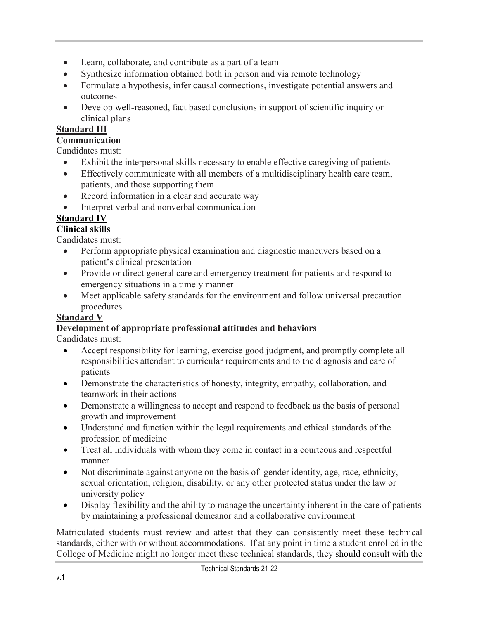- Learn, collaborate, and contribute as a part of a team
- Synthesize information obtained both in person and via remote technology
- Formulate a hypothesis, infer causal connections, investigate potential answers and outcomes
- Develop well-reasoned, fact based conclusions in support of scientific inquiry or clinical plans

## **Standard III**

**Communication**

Candidates must:

- Exhibit the interpersonal skills necessary to enable effective caregiving of patients
- Effectively communicate with all members of a multidisciplinary health care team, patients, and those supporting them
- Record information in a clear and accurate way
- Interpret verbal and nonverbal communication

## **Standard IV**

## **Clinical skills**

Candidates must:

- Perform appropriate physical examination and diagnostic maneuvers based on a patient's clinical presentation
- Provide or direct general care and emergency treatment for patients and respond to emergency situations in a timely manner
- Meet applicable safety standards for the environment and follow universal precaution procedures

## **Standard V**

## **Development of appropriate professional attitudes and behaviors**

Candidates must:

- Accept responsibility for learning, exercise good judgment, and promptly complete all responsibilities attendant to curricular requirements and to the diagnosis and care of patients
- Demonstrate the characteristics of honesty, integrity, empathy, collaboration, and teamwork in their actions
- Demonstrate a willingness to accept and respond to feedback as the basis of personal growth and improvement
- Understand and function within the legal requirements and ethical standards of the profession of medicine
- Treat all individuals with whom they come in contact in a courteous and respectful manner
- Not discriminate against anyone on the basis of gender identity, age, race, ethnicity, sexual orientation, religion, disability, or any other protected status under the law or university policy
- Display flexibility and the ability to manage the uncertainty inherent in the care of patients by maintaining a professional demeanor and a collaborative environment

Matriculated students must review and attest that they can consistently meet these technical standards, either with or without accommodations. If at any point in time a student enrolled in the College of Medicine might no longer meet these technical standards, they should consult with the